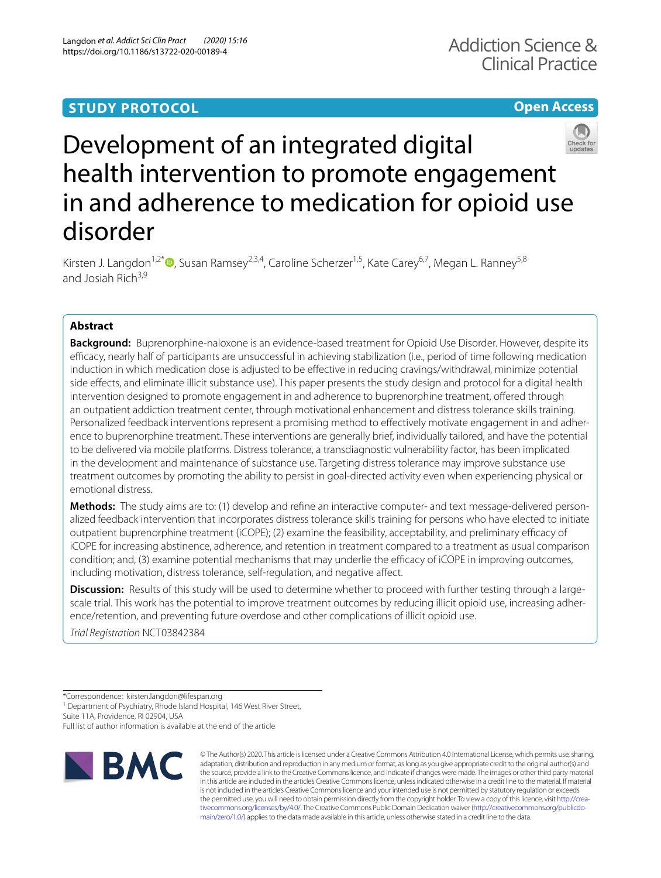# **STUDY PROTOCOL**

# **Open Access**



# Development of an integrated digital health intervention to promote engagement in and adherence to medication for opioid use disorder

Kirsten J. Langdon<sup>1,2\*</sup><sup>®</sup>[,](http://orcid.org/0000-0001-8404-397X) Susan Ramsey<sup>2,3,4</sup>, Caroline Scherzer<sup>1,5</sup>, Kate Carey<sup>6,7</sup>, Megan L. Ranney<sup>5,8</sup> and Josiah Rich<sup>3,9</sup>

## **Abstract**

**Background:** Buprenorphine-naloxone is an evidence-based treatment for Opioid Use Disorder. However, despite its efcacy, nearly half of participants are unsuccessful in achieving stabilization (i.e., period of time following medication induction in which medication dose is adjusted to be efective in reducing cravings/withdrawal, minimize potential side efects, and eliminate illicit substance use). This paper presents the study design and protocol for a digital health intervention designed to promote engagement in and adherence to buprenorphine treatment, ofered through an outpatient addiction treatment center, through motivational enhancement and distress tolerance skills training. Personalized feedback interventions represent a promising method to efectively motivate engagement in and adherence to buprenorphine treatment. These interventions are generally brief, individually tailored, and have the potential to be delivered via mobile platforms. Distress tolerance, a transdiagnostic vulnerability factor, has been implicated in the development and maintenance of substance use. Targeting distress tolerance may improve substance use treatment outcomes by promoting the ability to persist in goal-directed activity even when experiencing physical or emotional distress.

**Methods:** The study aims are to: (1) develop and refne an interactive computer- and text message-delivered personalized feedback intervention that incorporates distress tolerance skills training for persons who have elected to initiate outpatient buprenorphine treatment (iCOPE); (2) examine the feasibility, acceptability, and preliminary efficacy of iCOPE for increasing abstinence, adherence, and retention in treatment compared to a treatment as usual comparison condition; and, (3) examine potential mechanisms that may underlie the efficacy of iCOPE in improving outcomes, including motivation, distress tolerance, self-regulation, and negative afect.

**Discussion:** Results of this study will be used to determine whether to proceed with further testing through a largescale trial. This work has the potential to improve treatment outcomes by reducing illicit opioid use, increasing adherence/retention, and preventing future overdose and other complications of illicit opioid use.

*Trial Registration* NCT03842384

<sup>1</sup> Department of Psychiatry, Rhode Island Hospital, 146 West River Street,

Suite 11A, Providence, RI 02904, USA

Full list of author information is available at the end of the article



© The Author(s) 2020. This article is licensed under a Creative Commons Attribution 4.0 International License, which permits use, sharing, adaptation, distribution and reproduction in any medium or format, as long as you give appropriate credit to the original author(s) and the source, provide a link to the Creative Commons licence, and indicate if changes were made. The images or other third party material in this article are included in the article's Creative Commons licence, unless indicated otherwise in a credit line to the material. If material is not included in the article's Creative Commons licence and your intended use is not permitted by statutory regulation or exceeds the permitted use, you will need to obtain permission directly from the copyright holder. To view a copy of this licence, visit [http://crea](http://creativecommons.org/licenses/by/4.0/)[tivecommons.org/licenses/by/4.0/.](http://creativecommons.org/licenses/by/4.0/) The Creative Commons Public Domain Dedication waiver ([http://creativecommons.org/publicdo](http://creativecommons.org/publicdomain/zero/1.0/)[main/zero/1.0/\)](http://creativecommons.org/publicdomain/zero/1.0/) applies to the data made available in this article, unless otherwise stated in a credit line to the data.

<sup>\*</sup>Correspondence: kirsten.langdon@lifespan.org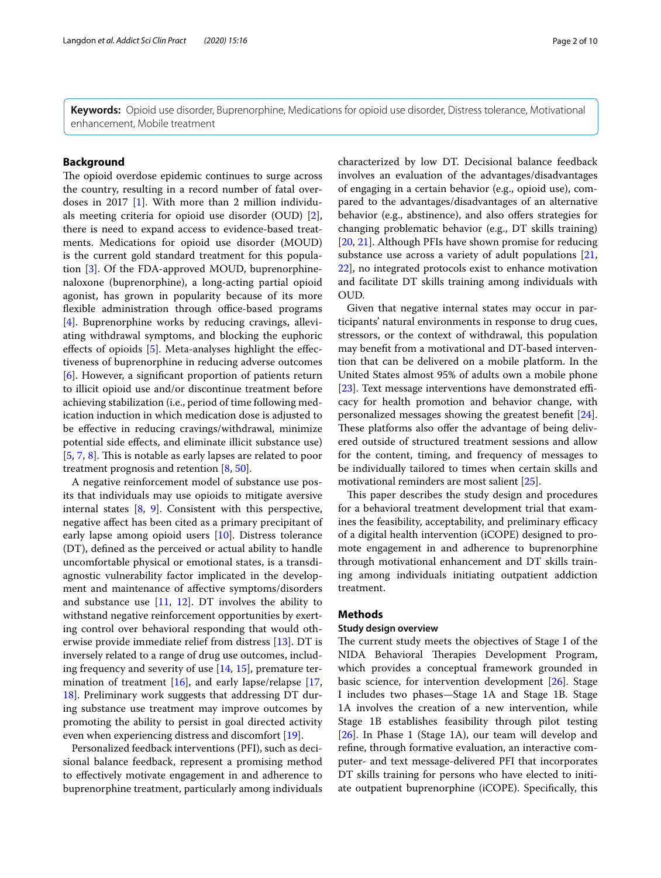**Keywords:** Opioid use disorder, Buprenorphine, Medications for opioid use disorder, Distress tolerance, Motivational enhancement, Mobile treatment

## **Background**

The opioid overdose epidemic continues to surge across the country, resulting in a record number of fatal overdoses in 2017 [[1\]](#page-8-0). With more than 2 million individuals meeting criteria for opioid use disorder (OUD) [\[2](#page-8-1)], there is need to expand access to evidence-based treatments. Medications for opioid use disorder (MOUD) is the current gold standard treatment for this population [[3\]](#page-8-2). Of the FDA-approved MOUD, buprenorphinenaloxone (buprenorphine), a long-acting partial opioid agonist, has grown in popularity because of its more flexible administration through office-based programs [[4\]](#page-8-3). Buprenorphine works by reducing cravings, alleviating withdrawal symptoms, and blocking the euphoric efects of opioids [\[5\]](#page-8-4). Meta-analyses highlight the efectiveness of buprenorphine in reducing adverse outcomes [[6\]](#page-8-5). However, a signifcant proportion of patients return to illicit opioid use and/or discontinue treatment before achieving stabilization (i.e., period of time following medication induction in which medication dose is adjusted to be efective in reducing cravings/withdrawal, minimize potential side efects, and eliminate illicit substance use)  $[5, 7, 8]$  $[5, 7, 8]$  $[5, 7, 8]$  $[5, 7, 8]$  $[5, 7, 8]$  $[5, 7, 8]$  $[5, 7, 8]$ . This is notable as early lapses are related to poor treatment prognosis and retention [\[8](#page-8-7), [50\]](#page-9-0).

A negative reinforcement model of substance use posits that individuals may use opioids to mitigate aversive internal states [[8,](#page-8-7) [9\]](#page-8-8). Consistent with this perspective, negative afect has been cited as a primary precipitant of early lapse among opioid users [\[10](#page-8-9)]. Distress tolerance (DT), defned as the perceived or actual ability to handle uncomfortable physical or emotional states, is a transdiagnostic vulnerability factor implicated in the development and maintenance of afective symptoms/disorders and substance use  $[11, 12]$  $[11, 12]$  $[11, 12]$  $[11, 12]$  $[11, 12]$ . DT involves the ability to withstand negative reinforcement opportunities by exerting control over behavioral responding that would otherwise provide immediate relief from distress [[13](#page-8-12)]. DT is inversely related to a range of drug use outcomes, including frequency and severity of use [[14,](#page-8-13) [15](#page-8-14)], premature termination of treatment [[16\]](#page-8-15), and early lapse/relapse [\[17](#page-8-16), [18\]](#page-8-17). Preliminary work suggests that addressing DT during substance use treatment may improve outcomes by promoting the ability to persist in goal directed activity even when experiencing distress and discomfort [\[19](#page-8-18)].

Personalized feedback interventions (PFI), such as decisional balance feedback, represent a promising method to efectively motivate engagement in and adherence to buprenorphine treatment, particularly among individuals characterized by low DT. Decisional balance feedback involves an evaluation of the advantages/disadvantages of engaging in a certain behavior (e.g., opioid use), compared to the advantages/disadvantages of an alternative behavior (e.g., abstinence), and also offers strategies for changing problematic behavior (e.g., DT skills training) [[20,](#page-8-19) [21](#page-8-20)]. Although PFIs have shown promise for reducing substance use across a variety of adult populations [[21](#page-8-20), [22\]](#page-8-21), no integrated protocols exist to enhance motivation and facilitate DT skills training among individuals with OUD.

Given that negative internal states may occur in participants' natural environments in response to drug cues, stressors, or the context of withdrawal, this population may beneft from a motivational and DT-based intervention that can be delivered on a mobile platform. In the United States almost 95% of adults own a mobile phone [ $23$ ]. Text message interventions have demonstrated efficacy for health promotion and behavior change, with personalized messages showing the greatest beneft [\[24](#page-8-23)]. These platforms also offer the advantage of being delivered outside of structured treatment sessions and allow for the content, timing, and frequency of messages to be individually tailored to times when certain skills and motivational reminders are most salient [[25](#page-8-24)].

This paper describes the study design and procedures for a behavioral treatment development trial that examines the feasibility, acceptability, and preliminary efficacy of a digital health intervention (iCOPE) designed to promote engagement in and adherence to buprenorphine through motivational enhancement and DT skills training among individuals initiating outpatient addiction treatment.

## **Methods**

## **Study design overview**

The current study meets the objectives of Stage I of the NIDA Behavioral Therapies Development Program, which provides a conceptual framework grounded in basic science, for intervention development [\[26](#page-8-25)]. Stage I includes two phases—Stage 1A and Stage 1B. Stage 1A involves the creation of a new intervention, while Stage 1B establishes feasibility through pilot testing [[26\]](#page-8-25). In Phase 1 (Stage 1A), our team will develop and refne, through formative evaluation, an interactive computer- and text message-delivered PFI that incorporates DT skills training for persons who have elected to initiate outpatient buprenorphine (iCOPE). Specifcally, this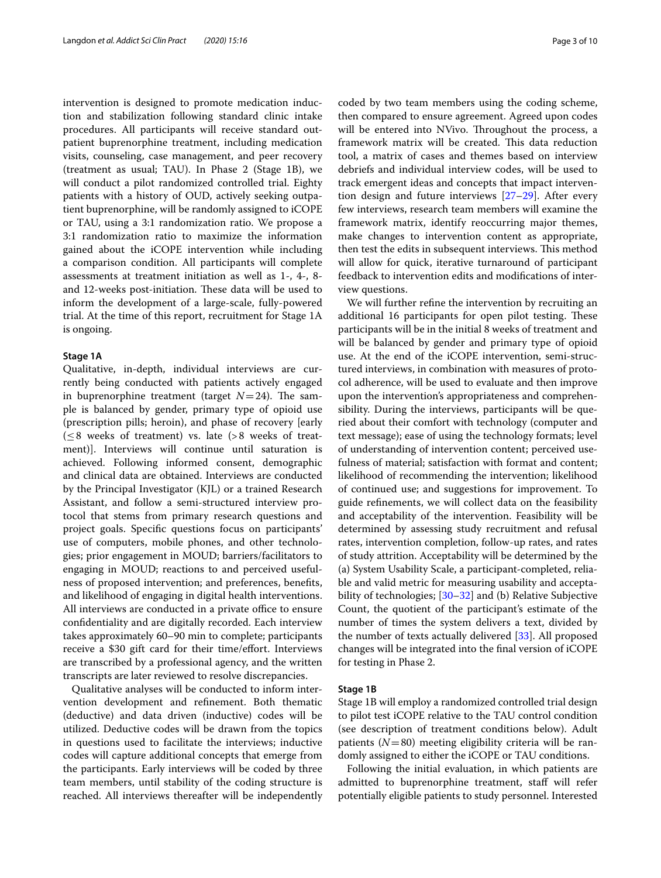intervention is designed to promote medication induction and stabilization following standard clinic intake procedures. All participants will receive standard outpatient buprenorphine treatment, including medication visits, counseling, case management, and peer recovery (treatment as usual; TAU). In Phase 2 (Stage 1B), we will conduct a pilot randomized controlled trial. Eighty patients with a history of OUD, actively seeking outpatient buprenorphine, will be randomly assigned to iCOPE or TAU, using a 3:1 randomization ratio. We propose a 3:1 randomization ratio to maximize the information gained about the iCOPE intervention while including a comparison condition. All participants will complete assessments at treatment initiation as well as 1-, 4-, 8 and 12-weeks post-initiation. These data will be used to inform the development of a large-scale, fully-powered trial. At the time of this report, recruitment for Stage 1A is ongoing.

## **Stage 1A**

Qualitative, in-depth, individual interviews are currently being conducted with patients actively engaged in buprenorphine treatment (target  $N=24$ ). The sample is balanced by gender, primary type of opioid use (prescription pills; heroin), and phase of recovery [early  $(\leq 8$  weeks of treatment) vs. late (>8 weeks of treatment)]. Interviews will continue until saturation is achieved. Following informed consent, demographic and clinical data are obtained. Interviews are conducted by the Principal Investigator (KJL) or a trained Research Assistant, and follow a semi-structured interview protocol that stems from primary research questions and project goals. Specifc questions focus on participants' use of computers, mobile phones, and other technologies; prior engagement in MOUD; barriers/facilitators to engaging in MOUD; reactions to and perceived usefulness of proposed intervention; and preferences, benefts, and likelihood of engaging in digital health interventions. All interviews are conducted in a private office to ensure confdentiality and are digitally recorded. Each interview takes approximately 60–90 min to complete; participants receive a \$30 gift card for their time/efort. Interviews are transcribed by a professional agency, and the written transcripts are later reviewed to resolve discrepancies.

Qualitative analyses will be conducted to inform intervention development and refnement. Both thematic (deductive) and data driven (inductive) codes will be utilized. Deductive codes will be drawn from the topics in questions used to facilitate the interviews; inductive codes will capture additional concepts that emerge from the participants. Early interviews will be coded by three team members, until stability of the coding structure is reached. All interviews thereafter will be independently coded by two team members using the coding scheme, then compared to ensure agreement. Agreed upon codes will be entered into NVivo. Throughout the process, a framework matrix will be created. This data reduction tool, a matrix of cases and themes based on interview debriefs and individual interview codes, will be used to track emergent ideas and concepts that impact intervention design and future interviews [\[27](#page-8-26)[–29\]](#page-8-27). After every few interviews, research team members will examine the framework matrix, identify reoccurring major themes, make changes to intervention content as appropriate, then test the edits in subsequent interviews. This method will allow for quick, iterative turnaround of participant feedback to intervention edits and modifcations of interview questions.

We will further refne the intervention by recruiting an additional 16 participants for open pilot testing. These participants will be in the initial 8 weeks of treatment and will be balanced by gender and primary type of opioid use. At the end of the iCOPE intervention, semi-structured interviews, in combination with measures of protocol adherence, will be used to evaluate and then improve upon the intervention's appropriateness and comprehensibility. During the interviews, participants will be queried about their comfort with technology (computer and text message); ease of using the technology formats; level of understanding of intervention content; perceived usefulness of material; satisfaction with format and content; likelihood of recommending the intervention; likelihood of continued use; and suggestions for improvement. To guide refnements, we will collect data on the feasibility and acceptability of the intervention. Feasibility will be determined by assessing study recruitment and refusal rates, intervention completion, follow-up rates, and rates of study attrition. Acceptability will be determined by the (a) System Usability Scale, a participant-completed, reliable and valid metric for measuring usability and accepta-bility of technologies; [\[30](#page-8-28)[–32](#page-9-1)] and (b) Relative Subjective Count, the quotient of the participant's estimate of the number of times the system delivers a text, divided by the number of texts actually delivered [\[33\]](#page-9-2). All proposed changes will be integrated into the fnal version of iCOPE for testing in Phase 2.

## **Stage 1B**

Stage 1B will employ a randomized controlled trial design to pilot test iCOPE relative to the TAU control condition (see description of treatment conditions below). Adult patients  $(N=80)$  meeting eligibility criteria will be randomly assigned to either the iCOPE or TAU conditions.

Following the initial evaluation, in which patients are admitted to buprenorphine treatment, staff will refer potentially eligible patients to study personnel. Interested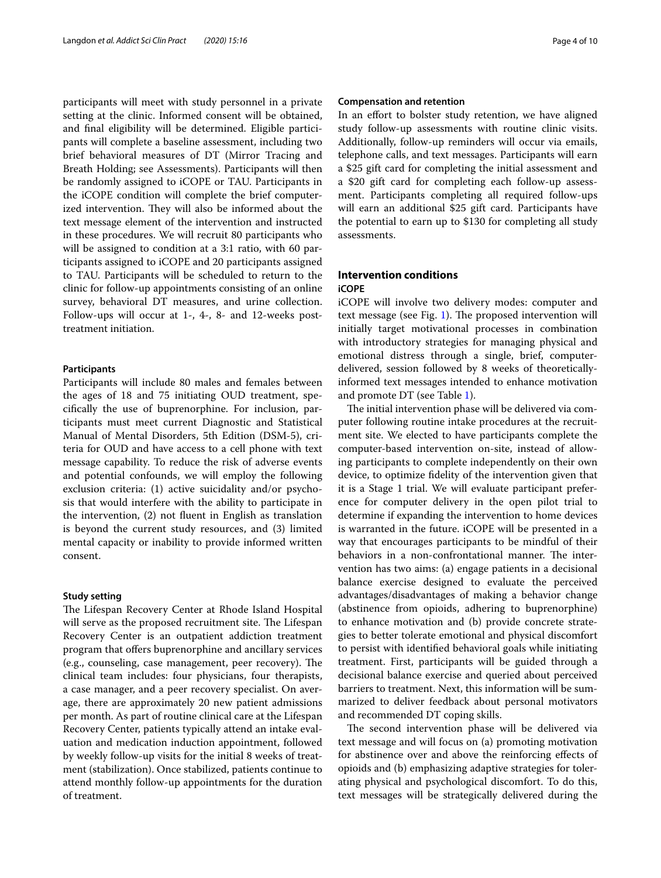participants will meet with study personnel in a private setting at the clinic. Informed consent will be obtained, and fnal eligibility will be determined. Eligible participants will complete a baseline assessment, including two brief behavioral measures of DT (Mirror Tracing and Breath Holding; see Assessments). Participants will then be randomly assigned to iCOPE or TAU. Participants in the iCOPE condition will complete the brief computerized intervention. They will also be informed about the text message element of the intervention and instructed in these procedures. We will recruit 80 participants who will be assigned to condition at a 3:1 ratio, with 60 participants assigned to iCOPE and 20 participants assigned to TAU. Participants will be scheduled to return to the clinic for follow-up appointments consisting of an online survey, behavioral DT measures, and urine collection. Follow-ups will occur at 1-, 4-, 8- and 12-weeks posttreatment initiation.

## **Participants**

Participants will include 80 males and females between the ages of 18 and 75 initiating OUD treatment, specifcally the use of buprenorphine. For inclusion, participants must meet current Diagnostic and Statistical Manual of Mental Disorders, 5th Edition (DSM-5), criteria for OUD and have access to a cell phone with text message capability. To reduce the risk of adverse events and potential confounds, we will employ the following exclusion criteria: (1) active suicidality and/or psychosis that would interfere with the ability to participate in the intervention, (2) not fuent in English as translation is beyond the current study resources, and (3) limited mental capacity or inability to provide informed written consent.

## **Study setting**

The Lifespan Recovery Center at Rhode Island Hospital will serve as the proposed recruitment site. The Lifespan Recovery Center is an outpatient addiction treatment program that offers buprenorphine and ancillary services  $(e.g.,*counting*,*case* management, *peer recovery*). The$ clinical team includes: four physicians, four therapists, a case manager, and a peer recovery specialist. On average, there are approximately 20 new patient admissions per month. As part of routine clinical care at the Lifespan Recovery Center, patients typically attend an intake evaluation and medication induction appointment, followed by weekly follow-up visits for the initial 8 weeks of treatment (stabilization). Once stabilized, patients continue to attend monthly follow-up appointments for the duration of treatment.

## **Compensation and retention**

In an effort to bolster study retention, we have aligned study follow-up assessments with routine clinic visits. Additionally, follow-up reminders will occur via emails, telephone calls, and text messages. Participants will earn a \$25 gift card for completing the initial assessment and a \$20 gift card for completing each follow-up assessment. Participants completing all required follow-ups will earn an additional \$25 gift card. Participants have the potential to earn up to \$130 for completing all study assessments.

## **Intervention conditions iCOPE**

iCOPE will involve two delivery modes: computer and text message (see Fig.  $1$ ). The proposed intervention will initially target motivational processes in combination with introductory strategies for managing physical and emotional distress through a single, brief, computerdelivered, session followed by 8 weeks of theoreticallyinformed text messages intended to enhance motivation and promote DT (see Table [1](#page-4-1)).

The initial intervention phase will be delivered via computer following routine intake procedures at the recruitment site. We elected to have participants complete the computer-based intervention on-site, instead of allowing participants to complete independently on their own device, to optimize fdelity of the intervention given that it is a Stage 1 trial. We will evaluate participant preference for computer delivery in the open pilot trial to determine if expanding the intervention to home devices is warranted in the future. iCOPE will be presented in a way that encourages participants to be mindful of their behaviors in a non-confrontational manner. The intervention has two aims: (a) engage patients in a decisional balance exercise designed to evaluate the perceived advantages/disadvantages of making a behavior change (abstinence from opioids, adhering to buprenorphine) to enhance motivation and (b) provide concrete strategies to better tolerate emotional and physical discomfort to persist with identifed behavioral goals while initiating treatment. First, participants will be guided through a decisional balance exercise and queried about perceived barriers to treatment. Next, this information will be summarized to deliver feedback about personal motivators and recommended DT coping skills.

The second intervention phase will be delivered via text message and will focus on (a) promoting motivation for abstinence over and above the reinforcing efects of opioids and (b) emphasizing adaptive strategies for tolerating physical and psychological discomfort. To do this, text messages will be strategically delivered during the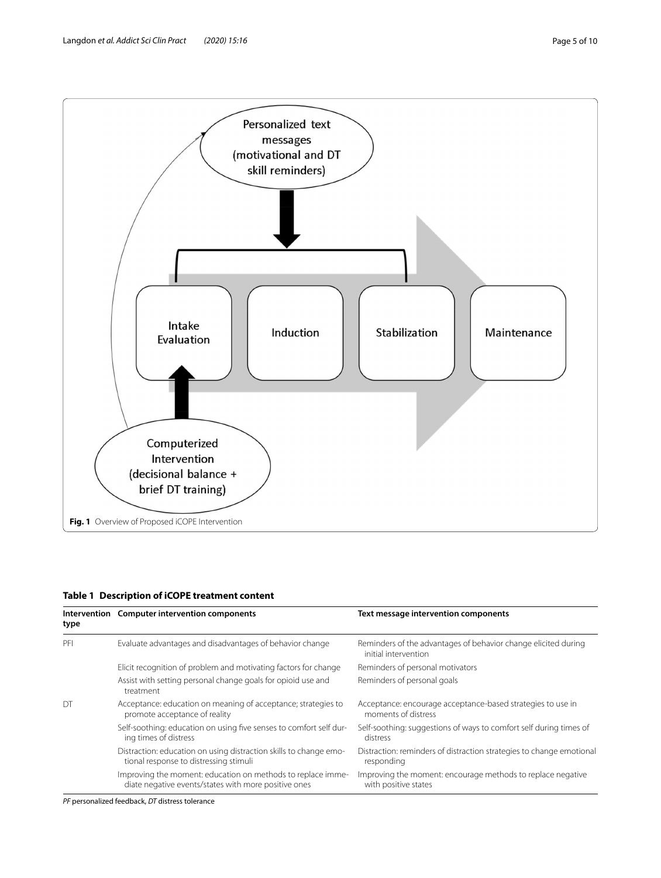

## <span id="page-4-1"></span><span id="page-4-0"></span>**Table 1 Description of iCOPE treatment content**

| type | Intervention Computer intervention components                                                                       | Text message intervention components                                                   |  |
|------|---------------------------------------------------------------------------------------------------------------------|----------------------------------------------------------------------------------------|--|
| PFI  | Evaluate advantages and disadvantages of behavior change                                                            | Reminders of the advantages of behavior change elicited during<br>initial intervention |  |
|      | Elicit recognition of problem and motivating factors for change                                                     | Reminders of personal motivators                                                       |  |
|      | Assist with setting personal change goals for opioid use and<br>treatment                                           | Reminders of personal goals                                                            |  |
| DT   | Acceptance: education on meaning of acceptance; strategies to<br>promote acceptance of reality                      | Acceptance: encourage acceptance-based strategies to use in<br>moments of distress     |  |
|      | Self-soothing: education on using five senses to comfort self dur-<br>ing times of distress                         | Self-soothing: suggestions of ways to comfort self during times of<br>distress         |  |
|      | Distraction: education on using distraction skills to change emo-<br>tional response to distressing stimuli         | Distraction: reminders of distraction strategies to change emotional<br>responding     |  |
|      | Improving the moment: education on methods to replace imme-<br>diate negative events/states with more positive ones | Improving the moment: encourage methods to replace negative<br>with positive states    |  |

*PF* personalized feedback, *DT* distress tolerance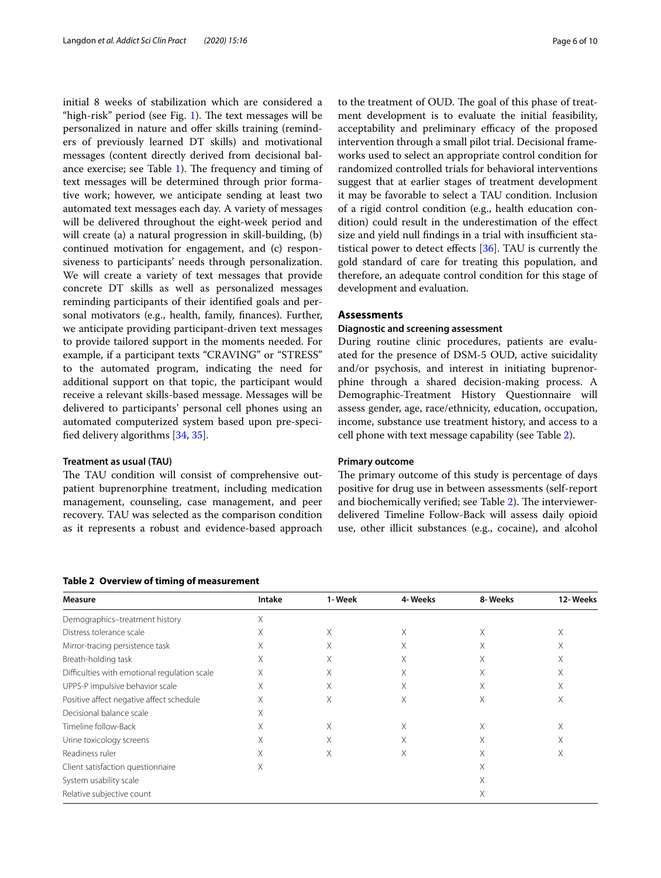initial 8 weeks of stabilization which are considered a "high-risk" period (see Fig. [1](#page-4-0)). The text messages will be personalized in nature and offer skills training (reminders of previously learned DT skills) and motivational messages (content directly derived from decisional balance exercise; see Table  $1$ ). The frequency and timing of text messages will be determined through prior formative work; however, we anticipate sending at least two automated text messages each day. A variety of messages will be delivered throughout the eight-week period and will create (a) a natural progression in skill-building, (b) continued motivation for engagement, and (c) responsiveness to participants' needs through personalization. We will create a variety of text messages that provide concrete DT skills as well as personalized messages reminding participants of their identifed goals and personal motivators (e.g., health, family, fnances). Further, we anticipate providing participant-driven text messages to provide tailored support in the moments needed. For example, if a participant texts "CRAVING" or "STRESS" to the automated program, indicating the need for additional support on that topic, the participant would receive a relevant skills-based message. Messages will be delivered to participants' personal cell phones using an automated computerized system based upon pre-specifed delivery algorithms [\[34](#page-9-3), [35\]](#page-9-4).

## **Treatment as usual (TAU)**

The TAU condition will consist of comprehensive outpatient buprenorphine treatment, including medication management, counseling, case management, and peer recovery. TAU was selected as the comparison condition as it represents a robust and evidence-based approach

## <span id="page-5-0"></span>**Table 2 Overview of timing of measurement**

to the treatment of OUD. The goal of this phase of treatment development is to evaluate the initial feasibility, acceptability and preliminary efficacy of the proposed intervention through a small pilot trial. Decisional frameworks used to select an appropriate control condition for randomized controlled trials for behavioral interventions suggest that at earlier stages of treatment development it may be favorable to select a TAU condition. Inclusion of a rigid control condition (e.g., health education condition) could result in the underestimation of the efect size and yield null findings in a trial with insufficient statistical power to detect efects [\[36\]](#page-9-5). TAU is currently the gold standard of care for treating this population, and therefore, an adequate control condition for this stage of development and evaluation.

## **Assessments**

## **Diagnostic and screening assessment**

During routine clinic procedures, patients are evaluated for the presence of DSM-5 OUD, active suicidality and/or psychosis, and interest in initiating buprenorphine through a shared decision-making process. A Demographic-Treatment History Questionnaire will assess gender, age, race/ethnicity, education, occupation, income, substance use treatment history, and access to a cell phone with text message capability (see Table [2](#page-5-0)).

## **Primary outcome**

The primary outcome of this study is percentage of days positive for drug use in between assessments (self-report and biochemically verified; see Table [2\)](#page-5-0). The interviewerdelivered Timeline Follow-Back will assess daily opioid use, other illicit substances (e.g., cocaine), and alcohol

| Measure                                      | Intake | 1-Week | 4-Weeks | 8-Weeks | 12-Weeks |
|----------------------------------------------|--------|--------|---------|---------|----------|
| Demographics-treatment history               | X      |        |         |         |          |
| Distress tolerance scale                     | X      | X      | Χ       | X       | Χ        |
| Mirror-tracing persistence task              | Χ      | Χ      | Χ       | Χ       | A        |
| Breath-holding task                          | X      | Х      | Χ       | X       | Χ        |
| Difficulties with emotional regulation scale | X      | X      | X       |         | Χ        |
| UPPS-P impulsive behavior scale              | X      | Χ      | Χ       | Χ       | X        |
| Positive affect negative affect schedule     | X      | X      | Χ       | Χ       | Χ        |
| Decisional balance scale                     | X      |        |         |         |          |
| Timeline follow-Back                         | X      | Χ      | Χ       | Χ       | Χ        |
| Urine toxicology screens                     | Х      | Χ      | Χ       |         | X        |
| Readiness ruler                              | X      | Χ      | Χ       |         | Χ        |
| Client satisfaction questionnaire            | X      |        |         |         |          |
| System usability scale                       |        |        |         | Χ       |          |
| Relative subjective count                    |        |        |         |         |          |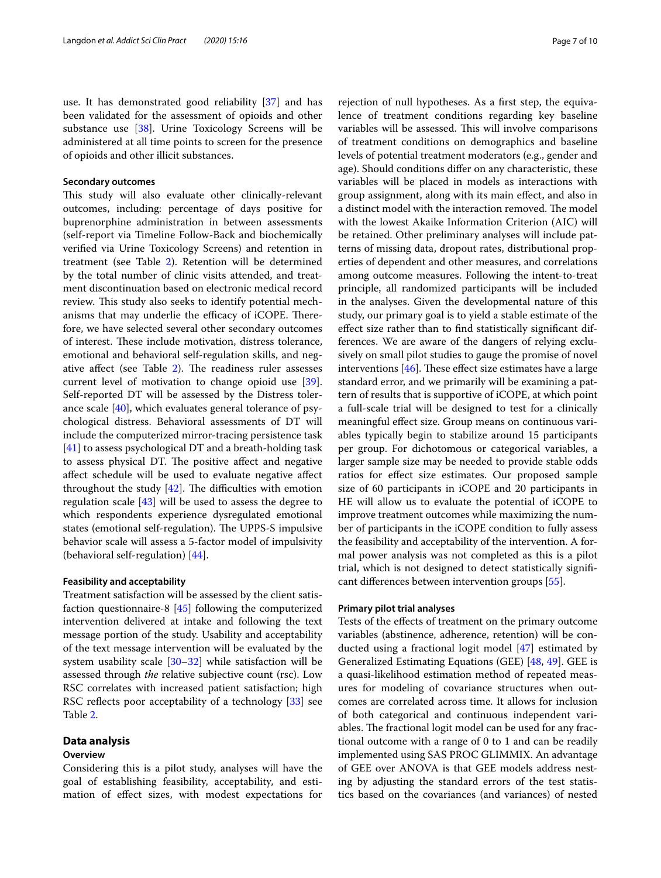use. It has demonstrated good reliability [\[37](#page-9-6)] and has been validated for the assessment of opioids and other substance use [\[38](#page-9-7)]. Urine Toxicology Screens will be administered at all time points to screen for the presence of opioids and other illicit substances.

## **Secondary outcomes**

This study will also evaluate other clinically-relevant outcomes, including: percentage of days positive for buprenorphine administration in between assessments (self-report via Timeline Follow-Back and biochemically verifed via Urine Toxicology Screens) and retention in treatment (see Table [2](#page-5-0)). Retention will be determined by the total number of clinic visits attended, and treatment discontinuation based on electronic medical record review. This study also seeks to identify potential mechanisms that may underlie the efficacy of iCOPE. Therefore, we have selected several other secondary outcomes of interest. These include motivation, distress tolerance, emotional and behavioral self-regulation skills, and negative affect (see Table  $2$ ). The readiness ruler assesses current level of motivation to change opioid use [\[39](#page-9-8)]. Self-reported DT will be assessed by the Distress tolerance scale [[40\]](#page-9-9), which evaluates general tolerance of psychological distress. Behavioral assessments of DT will include the computerized mirror-tracing persistence task [[41\]](#page-9-10) to assess psychological DT and a breath-holding task to assess physical DT. The positive affect and negative afect schedule will be used to evaluate negative afect throughout the study  $[42]$  $[42]$  $[42]$ . The difficulties with emotion regulation scale [[43\]](#page-9-12) will be used to assess the degree to which respondents experience dysregulated emotional states (emotional self-regulation). The UPPS-S impulsive behavior scale will assess a 5-factor model of impulsivity (behavioral self-regulation) [[44\]](#page-9-13).

## **Feasibility and acceptability**

Treatment satisfaction will be assessed by the client satisfaction questionnaire-8 [[45](#page-9-14)] following the computerized intervention delivered at intake and following the text message portion of the study. Usability and acceptability of the text message intervention will be evaluated by the system usability scale [[30](#page-8-28)[–32](#page-9-1)] while satisfaction will be assessed through *the* relative subjective count (rsc). Low RSC correlates with increased patient satisfaction; high RSC reflects poor acceptability of a technology [\[33\]](#page-9-2) see Table [2](#page-5-0).

## **Data analysis**

## **Overview**

Considering this is a pilot study, analyses will have the goal of establishing feasibility, acceptability, and estimation of efect sizes, with modest expectations for rejection of null hypotheses. As a frst step, the equivalence of treatment conditions regarding key baseline variables will be assessed. This will involve comparisons of treatment conditions on demographics and baseline levels of potential treatment moderators (e.g., gender and age). Should conditions difer on any characteristic, these variables will be placed in models as interactions with group assignment, along with its main efect, and also in a distinct model with the interaction removed. The model with the lowest Akaike Information Criterion (AIC) will be retained. Other preliminary analyses will include patterns of missing data, dropout rates, distributional properties of dependent and other measures, and correlations among outcome measures. Following the intent-to-treat principle, all randomized participants will be included in the analyses. Given the developmental nature of this study, our primary goal is to yield a stable estimate of the efect size rather than to fnd statistically signifcant differences. We are aware of the dangers of relying exclusively on small pilot studies to gauge the promise of novel interventions  $[46]$  $[46]$  $[46]$ . These effect size estimates have a large standard error, and we primarily will be examining a pattern of results that is supportive of iCOPE, at which point a full-scale trial will be designed to test for a clinically meaningful efect size. Group means on continuous variables typically begin to stabilize around 15 participants per group. For dichotomous or categorical variables, a larger sample size may be needed to provide stable odds ratios for efect size estimates. Our proposed sample size of 60 participants in iCOPE and 20 participants in HE will allow us to evaluate the potential of iCOPE to improve treatment outcomes while maximizing the number of participants in the iCOPE condition to fully assess the feasibility and acceptability of the intervention. A formal power analysis was not completed as this is a pilot trial, which is not designed to detect statistically signifcant diferences between intervention groups [\[55](#page-9-16)].

## **Primary pilot trial analyses**

Tests of the efects of treatment on the primary outcome variables (abstinence, adherence, retention) will be conducted using a fractional logit model [[47](#page-9-17)] estimated by Generalized Estimating Equations (GEE) [\[48,](#page-9-18) [49\]](#page-9-19). GEE is a quasi-likelihood estimation method of repeated measures for modeling of covariance structures when outcomes are correlated across time. It allows for inclusion of both categorical and continuous independent variables. The fractional logit model can be used for any fractional outcome with a range of 0 to 1 and can be readily implemented using SAS PROC GLIMMIX. An advantage of GEE over ANOVA is that GEE models address nesting by adjusting the standard errors of the test statistics based on the covariances (and variances) of nested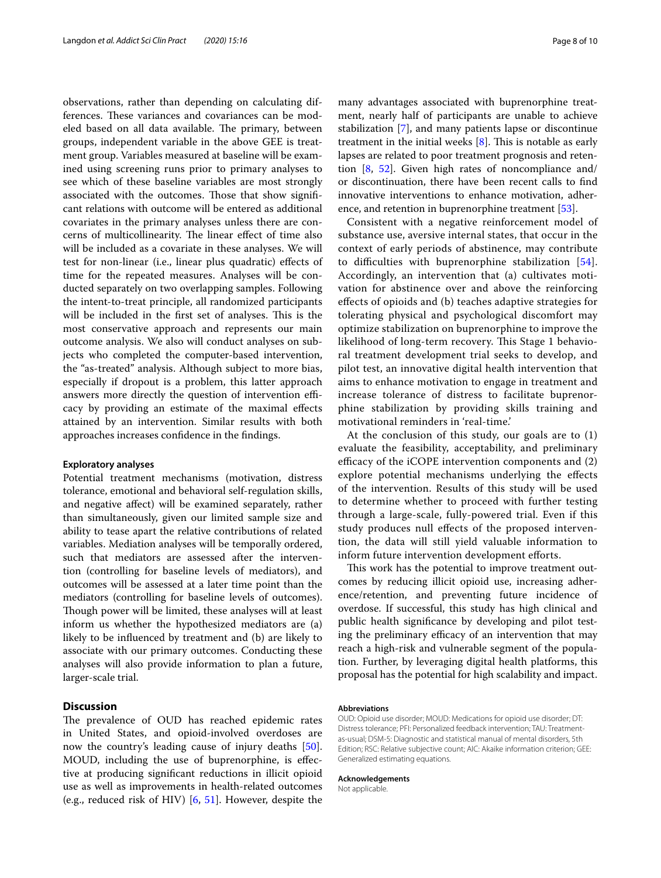observations, rather than depending on calculating differences. These variances and covariances can be modeled based on all data available. The primary, between groups, independent variable in the above GEE is treatment group. Variables measured at baseline will be examined using screening runs prior to primary analyses to see which of these baseline variables are most strongly associated with the outcomes. Those that show significant relations with outcome will be entered as additional covariates in the primary analyses unless there are concerns of multicollinearity. The linear effect of time also will be included as a covariate in these analyses. We will test for non-linear (i.e., linear plus quadratic) efects of time for the repeated measures. Analyses will be conducted separately on two overlapping samples. Following the intent-to-treat principle, all randomized participants will be included in the first set of analyses. This is the most conservative approach and represents our main outcome analysis. We also will conduct analyses on subjects who completed the computer-based intervention, the "as-treated" analysis. Although subject to more bias, especially if dropout is a problem, this latter approach answers more directly the question of intervention efficacy by providing an estimate of the maximal efects attained by an intervention. Similar results with both approaches increases confdence in the fndings.

## **Exploratory analyses**

Potential treatment mechanisms (motivation, distress tolerance, emotional and behavioral self-regulation skills, and negative afect) will be examined separately, rather than simultaneously, given our limited sample size and ability to tease apart the relative contributions of related variables. Mediation analyses will be temporally ordered, such that mediators are assessed after the intervention (controlling for baseline levels of mediators), and outcomes will be assessed at a later time point than the mediators (controlling for baseline levels of outcomes). Though power will be limited, these analyses will at least inform us whether the hypothesized mediators are (a) likely to be infuenced by treatment and (b) are likely to associate with our primary outcomes. Conducting these analyses will also provide information to plan a future, larger-scale trial.

## **Discussion**

The prevalence of OUD has reached epidemic rates in United States, and opioid-involved overdoses are now the country's leading cause of injury deaths [\[50](#page-9-0)]. MOUD, including the use of buprenorphine, is efective at producing signifcant reductions in illicit opioid use as well as improvements in health-related outcomes (e.g., reduced risk of HIV)  $[6, 51]$  $[6, 51]$  $[6, 51]$  $[6, 51]$  $[6, 51]$ . However, despite the many advantages associated with buprenorphine treatment, nearly half of participants are unable to achieve stabilization [\[7](#page-8-6)], and many patients lapse or discontinue treatment in the initial weeks  $[8]$  $[8]$ . This is notable as early lapses are related to poor treatment prognosis and retention  $[8, 52]$  $[8, 52]$  $[8, 52]$  $[8, 52]$ . Given high rates of noncompliance and/ or discontinuation, there have been recent calls to fnd innovative interventions to enhance motivation, adherence, and retention in buprenorphine treatment [[53](#page-9-22)].

Consistent with a negative reinforcement model of substance use, aversive internal states, that occur in the context of early periods of abstinence, may contribute to difficulties with buprenorphine stabilization  $[54]$  $[54]$  $[54]$ . Accordingly, an intervention that (a) cultivates motivation for abstinence over and above the reinforcing efects of opioids and (b) teaches adaptive strategies for tolerating physical and psychological discomfort may optimize stabilization on buprenorphine to improve the likelihood of long-term recovery. This Stage 1 behavioral treatment development trial seeks to develop, and pilot test, an innovative digital health intervention that aims to enhance motivation to engage in treatment and increase tolerance of distress to facilitate buprenorphine stabilization by providing skills training and motivational reminders in 'real-time.'

At the conclusion of this study, our goals are to (1) evaluate the feasibility, acceptability, and preliminary efficacy of the  $iCOPE$  intervention components and  $(2)$ explore potential mechanisms underlying the efects of the intervention. Results of this study will be used to determine whether to proceed with further testing through a large-scale, fully-powered trial. Even if this study produces null efects of the proposed intervention, the data will still yield valuable information to inform future intervention development efforts.

This work has the potential to improve treatment outcomes by reducing illicit opioid use, increasing adherence/retention, and preventing future incidence of overdose. If successful, this study has high clinical and public health signifcance by developing and pilot testing the preliminary efficacy of an intervention that may reach a high-risk and vulnerable segment of the population. Further, by leveraging digital health platforms, this proposal has the potential for high scalability and impact.

#### **Abbreviations**

OUD: Opioid use disorder; MOUD: Medications for opioid use disorder; DT: Distress tolerance; PFI: Personalized feedback intervention; TAU: Treatmentas-usual; DSM-5: Diagnostic and statistical manual of mental disorders, 5th Edition; RSC: Relative subjective count; AIC: Akaike information criterion; GEE: Generalized estimating equations.

#### **Acknowledgements**

Not applicable.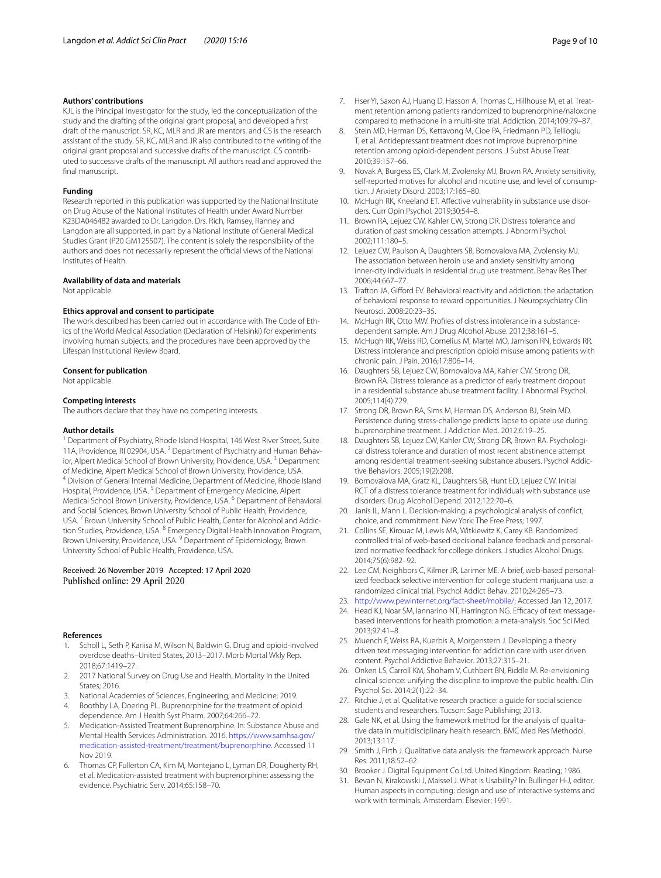#### **Authors' contributions**

KJL is the Principal Investigator for the study, led the conceptualization of the study and the drafting of the original grant proposal, and developed a frst draft of the manuscript. SR, KC, MLR and JR are mentors, and CS is the research assistant of the study. SR, KC, MLR and JR also contributed to the writing of the original grant proposal and successive drafts of the manuscript. CS contributed to successive drafts of the manuscript. All authors read and approved the final manuscript.

#### **Funding**

Research reported in this publication was supported by the National Institute on Drug Abuse of the National Institutes of Health under Award Number K23DA046482 awarded to Dr. Langdon. Drs. Rich, Ramsey, Ranney and Langdon are all supported, in part by a National Institute of General Medical Studies Grant (P20 GM125507). The content is solely the responsibility of the authors and does not necessarily represent the official views of the National Institutes of Health.

#### **Availability of data and materials**

Not applicable.

#### **Ethics approval and consent to participate**

The work described has been carried out in accordance with The Code of Ethics of the World Medical Association (Declaration of Helsinki) for experiments involving human subjects, and the procedures have been approved by the Lifespan Institutional Review Board.

#### **Consent for publication**

Not applicable.

## **Competing interests**

The authors declare that they have no competing interests.

#### **Author details**

<sup>1</sup> Department of Psychiatry, Rhode Island Hospital, 146 West River Street, Suite 11A, Providence, RI 02904, USA. <sup>2</sup> Department of Psychiatry and Human Behavior, Alpert Medical School of Brown University, Providence, USA.<sup>3</sup> Department of Medicine, Alpert Medical School of Brown University, Providence, USA. <sup>4</sup> Division of General Internal Medicine, Department of Medicine, Rhode Island Hospital, Providence, USA.<sup>5</sup> Department of Emergency Medicine, Alpert Medical School Brown University, Providence, USA. 6 Department of Behavioral and Social Sciences, Brown University School of Public Health, Providence, USA.<sup>7</sup> Brown University School of Public Health, Center for Alcohol and Addiction Studies, Providence, USA. <sup>8</sup> Emergency Digital Health Innovation Program, Brown University, Providence, USA. 9 Department of Epidemiology, Brown University School of Public Health, Providence, USA.

## Received: 26 November 2019 Accepted: 17 April 2020 Published online: 29 April 2020

#### **References**

- <span id="page-8-0"></span>1. Scholl L, Seth P, Kariisa M, Wilson N, Baldwin G. Drug and opioid-involved overdose deaths–United States, 2013–2017. Morb Mortal Wkly Rep. 2018;67:1419–27.
- <span id="page-8-1"></span>2. 2017 National Survey on Drug Use and Health, Mortality in the United States; 2016.
- <span id="page-8-2"></span>3. National Academies of Sciences, Engineering, and Medicine; 2019.
- <span id="page-8-3"></span>4. Boothby LA, Doering PL. Buprenorphine for the treatment of opioid dependence. Am J Health Syst Pharm. 2007;64:266–72.
- <span id="page-8-4"></span>5. Medication-Assisted Treatment Buprenorphine. In: Substance Abuse and Mental Health Services Administration. 2016. [https://www.samhsa.gov/](https://www.samhsa.gov/medication-assisted-treatment/treatment/buprenorphine) [medication-assisted-treatment/treatment/buprenorphine](https://www.samhsa.gov/medication-assisted-treatment/treatment/buprenorphine). Accessed 11 Nov 2019.
- <span id="page-8-5"></span>6. Thomas CP, Fullerton CA, Kim M, Montejano L, Lyman DR, Dougherty RH, et al. Medication-assisted treatment with buprenorphine: assessing the evidence. Psychiatric Serv. 2014;65:158–70.
- <span id="page-8-6"></span>7. Hser YI, Saxon AJ, Huang D, Hasson A, Thomas C, Hillhouse M, et al. Treatment retention among patients randomized to buprenorphine/naloxone compared to methadone in a multi-site trial. Addiction. 2014;109:79–87.
- <span id="page-8-7"></span>8. Stein MD, Herman DS, Kettavong M, Cioe PA, Friedmann PD, Tellioglu T, et al. Antidepressant treatment does not improve buprenorphine retention among opioid-dependent persons. J Subst Abuse Treat. 2010;39:157–66.
- <span id="page-8-8"></span>9. Novak A, Burgess ES, Clark M, Zvolensky MJ, Brown RA. Anxiety sensitivity, self-reported motives for alcohol and nicotine use, and level of consumption. J Anxiety Disord. 2003;17:165–80.
- <span id="page-8-9"></span>10. McHugh RK, Kneeland ET. Afective vulnerability in substance use disorders. Curr Opin Psychol. 2019;30:54–8.
- <span id="page-8-10"></span>11. Brown RA, Lejuez CW, Kahler CW, Strong DR. Distress tolerance and duration of past smoking cessation attempts. J Abnorm Psychol. 2002;111:180–5.
- <span id="page-8-11"></span>12. Lejuez CW, Paulson A, Daughters SB, Bornovalova MA, Zvolensky MJ. The association between heroin use and anxiety sensitivity among inner-city individuals in residential drug use treatment. Behav Res Ther. 2006;44:667–77.
- <span id="page-8-12"></span>13. Trafton JA, Giford EV. Behavioral reactivity and addiction: the adaptation of behavioral response to reward opportunities. J Neuropsychiatry Clin Neurosci. 2008;20:23–35.
- <span id="page-8-13"></span>14. McHugh RK, Otto MW. Profles of distress intolerance in a substancedependent sample. Am J Drug Alcohol Abuse. 2012;38:161–5.
- <span id="page-8-14"></span>15. McHugh RK, Weiss RD, Cornelius M, Martel MO, Jamison RN, Edwards RR. Distress intolerance and prescription opioid misuse among patients with chronic pain. J Pain. 2016;17:806–14.
- <span id="page-8-15"></span>16. Daughters SB, Lejuez CW, Bornovalova MA, Kahler CW, Strong DR, Brown RA. Distress tolerance as a predictor of early treatment dropout in a residential substance abuse treatment facility. J Abnormal Psychol. 2005;114(4):729.
- <span id="page-8-16"></span>17. Strong DR, Brown RA, Sims M, Herman DS, Anderson BJ, Stein MD. Persistence during stress-challenge predicts lapse to opiate use during buprenorphine treatment. J Addiction Med. 2012;6:19–25.
- <span id="page-8-17"></span>18. Daughters SB, Lejuez CW, Kahler CW, Strong DR, Brown RA. Psychological distress tolerance and duration of most recent abstinence attempt among residential treatment-seeking substance abusers. Psychol Addictive Behaviors. 2005;19(2):208.
- <span id="page-8-18"></span>19. Bornovalova MA, Gratz KL, Daughters SB, Hunt ED, Lejuez CW. Initial RCT of a distress tolerance treatment for individuals with substance use disorders. Drug Alcohol Depend. 2012;122:70–6.
- <span id="page-8-19"></span>20. Janis IL, Mann L. Decision-making: a psychological analysis of confict, choice, and commitment. New York: The Free Press; 1997.
- <span id="page-8-20"></span>21. Collins SE, Kirouac M, Lewis MA, Witkiewitz K, Carey KB. Randomized controlled trial of web-based decisional balance feedback and personalized normative feedback for college drinkers. J studies Alcohol Drugs. 2014;75(6):982–92.
- <span id="page-8-21"></span>22. Lee CM, Neighbors C, Kilmer JR, Larimer ME. A brief, web-based personalized feedback selective intervention for college student marijuana use: a randomized clinical trial. Psychol Addict Behav. 2010;24:265–73.
- <span id="page-8-22"></span>23. [http://www.pewinternet.org/fact-sheet/mobile/;](http://www.pewinternet.org/fact-sheet/mobile/) Accessed Jan 12, 2017.
- <span id="page-8-23"></span>24. Head KJ, Noar SM, Iannarino NT, Harrington NG. Efficacy of text messagebased interventions for health promotion: a meta-analysis. Soc Sci Med. 2013;97:41–8.
- <span id="page-8-24"></span>25. Muench F, Weiss RA, Kuerbis A, Morgenstern J. Developing a theory driven text messaging intervention for addiction care with user driven content. Psychol Addictive Behavior. 2013;27:315–21.
- <span id="page-8-25"></span>26. Onken LS, Carroll KM, Shoham V, Cuthbert BN, Riddle M. Re-envisioning clinical science: unifying the discipline to improve the public health. Clin Psychol Sci. 2014;2(1):22–34.
- <span id="page-8-26"></span>27. Ritchie J, et al. Qualitative research practice: a guide for social science students and researchers. Tucson: Sage Publishing; 2013.
- 28. Gale NK, et al. Using the framework method for the analysis of qualitative data in multidisciplinary health research. BMC Med Res Methodol. 2013;13:117.
- <span id="page-8-27"></span>29. Smith J, Firth J. Qualitative data analysis: the framework approach. Nurse Res. 2011;18:52–62.
- <span id="page-8-28"></span>30. Brooker J. Digital Equipment Co Ltd. United Kingdom: Reading; 1986.
- 31. Bevan N, Kirakowski J, Maissel J. What is Usability? In: Bullinger H-J, editor. Human aspects in computing: design and use of interactive systems and work with terminals. Amsterdam: Elsevier; 1991.